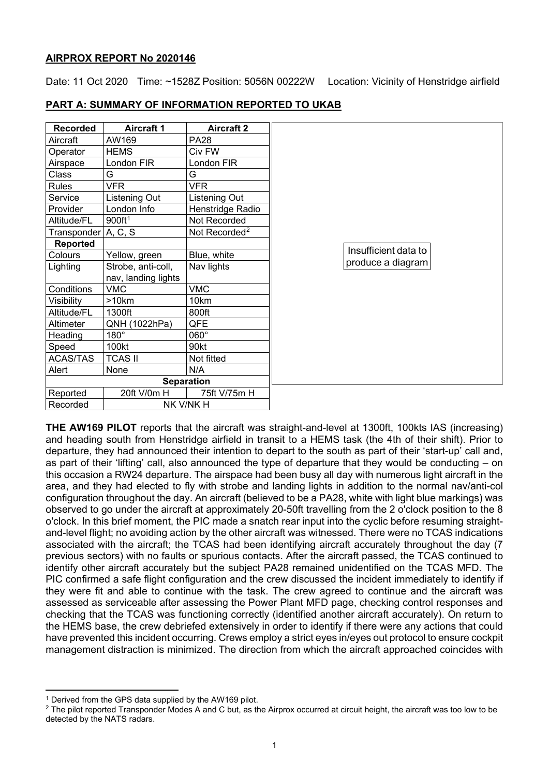## **AIRPROX REPORT No 2020146**

Date: 11 Oct 2020 Time: ~1528Z Position: 5056N 00222W Location: Vicinity of Henstridge airfield

| <b>Recorded</b>       | <b>Aircraft 1</b>   | <b>Aircraft 2</b>         |
|-----------------------|---------------------|---------------------------|
| Aircraft              | AW169               | <b>PA28</b>               |
| Operator              | <b>HEMS</b>         | Civ FW                    |
| Airspace              | London FIR          | London FIR                |
| Class                 | G                   | G                         |
| <b>Rules</b>          | <b>VFR</b>          | <b>VFR</b>                |
| Service               | Listening Out       | Listening Out             |
| Provider              | London Info         | Henstridge Radio          |
| Altitude/FL           | 900ft <sup>1</sup>  | Not Recorded              |
| Transponder $A, C, S$ |                     | Not Recorded <sup>2</sup> |
| <b>Reported</b>       |                     |                           |
| Colours               | Yellow, green       | Blue, white               |
| Lighting              | Strobe, anti-coll,  | Nav lights                |
|                       | nav, landing lights |                           |
| Conditions            | <b>VMC</b>          | <b>VMC</b>                |
| Visibility            | >10km               | 10km                      |
| Altitude/FL           | 1300ft              | 800ft                     |
| Altimeter             | QNH (1022hPa)       | QFE                       |
| Heading               | $180^\circ$         | $060^\circ$               |
| Speed                 | 100kt               | 90kt                      |
| ACAS/TAS              | <b>TCAS II</b>      | Not fitted                |
| Alert                 | None                | N/A                       |
|                       |                     | <b>Separation</b>         |
| Reported              | 20ft V/0m H         | 75ft V/75m H              |
| Recorded              | NK V/NK H           |                           |

# **PART A: SUMMARY OF INFORMATION REPORTED TO UKAB**

**THE AW169 PILOT** reports that the aircraft was straight-and-level at 1300ft, 100kts IAS (increasing) and heading south from Henstridge airfield in transit to a HEMS task (the 4th of their shift). Prior to departure, they had announced their intention to depart to the south as part of their 'start-up' call and, as part of their 'lifting' call, also announced the type of departure that they would be conducting – on this occasion a RW24 departure. The airspace had been busy all day with numerous light aircraft in the area, and they had elected to fly with strobe and landing lights in addition to the normal nav/anti-col configuration throughout the day. An aircraft (believed to be a PA28, white with light blue markings) was observed to go under the aircraft at approximately 20-50ft travelling from the 2 o'clock position to the 8 o'clock. In this brief moment, the PIC made a snatch rear input into the cyclic before resuming straightand-level flight; no avoiding action by the other aircraft was witnessed. There were no TCAS indications associated with the aircraft; the TCAS had been identifying aircraft accurately throughout the day (7 previous sectors) with no faults or spurious contacts. After the aircraft passed, the TCAS continued to identify other aircraft accurately but the subject PA28 remained unidentified on the TCAS MFD. The PIC confirmed a safe flight configuration and the crew discussed the incident immediately to identify if they were fit and able to continue with the task. The crew agreed to continue and the aircraft was assessed as serviceable after assessing the Power Plant MFD page, checking control responses and checking that the TCAS was functioning correctly (identified another aircraft accurately). On return to the HEMS base, the crew debriefed extensively in order to identify if there were any actions that could have prevented this incident occurring. Crews employ a strict eyes in/eyes out protocol to ensure cockpit management distraction is minimized. The direction from which the aircraft approached coincides with

<span id="page-0-0"></span><sup>1</sup> Derived from the GPS data supplied by the AW169 pilot.

<span id="page-0-1"></span> $2$  The pilot reported Transponder Modes A and C but, as the Airprox occurred at circuit height, the aircraft was too low to be detected by the NATS radars.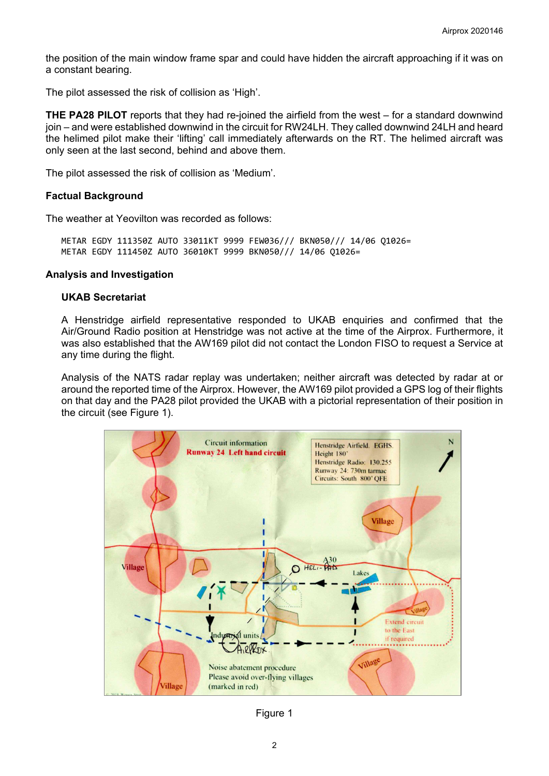the position of the main window frame spar and could have hidden the aircraft approaching if it was on a constant bearing.

The pilot assessed the risk of collision as 'High'.

**THE PA28 PILOT** reports that they had re-joined the airfield from the west – for a standard downwind join – and were established downwind in the circuit for RW24LH. They called downwind 24LH and heard the helimed pilot make their 'lifting' call immediately afterwards on the RT. The helimed aircraft was only seen at the last second, behind and above them.

The pilot assessed the risk of collision as 'Medium'.

## **Factual Background**

The weather at Yeovilton was recorded as follows:

METAR EGDY 111350Z AUTO 33011KT 9999 FEW036/// BKN050/// 14/06 Q1026= METAR EGDY 111450Z AUTO 36010KT 9999 BKN050/// 14/06 Q1026=

#### **Analysis and Investigation**

#### **UKAB Secretariat**

A Henstridge airfield representative responded to UKAB enquiries and confirmed that the Air/Ground Radio position at Henstridge was not active at the time of the Airprox. Furthermore, it was also established that the AW169 pilot did not contact the London FISO to request a Service at any time during the flight.

Analysis of the NATS radar replay was undertaken; neither aircraft was detected by radar at or around the reported time of the Airprox. However, the AW169 pilot provided a GPS log of their flights on that day and the PA28 pilot provided the UKAB with a pictorial representation of their position in the circuit (see Figure 1).



Figure 1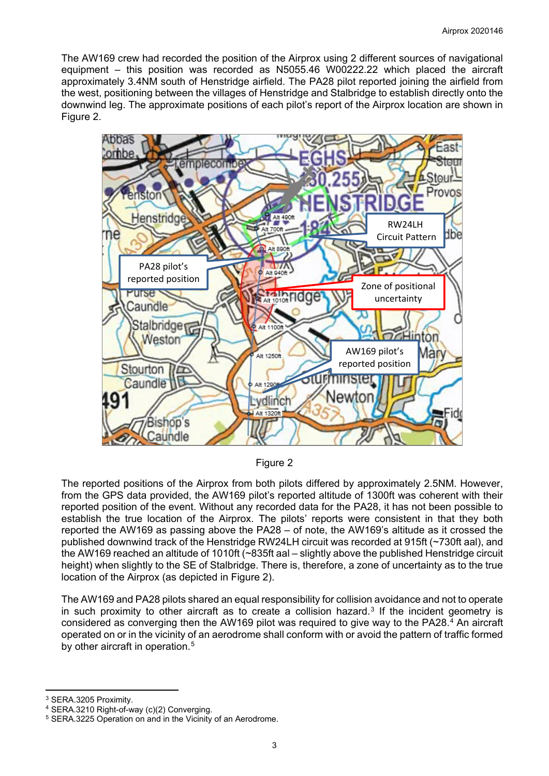The AW169 crew had recorded the position of the Airprox using 2 different sources of navigational equipment – this position was recorded as N5055.46 W00222.22 which placed the aircraft approximately 3.4NM south of Henstridge airfield. The PA28 pilot reported joining the airfield from the west, positioning between the villages of Henstridge and Stalbridge to establish directly onto the downwind leg. The approximate positions of each pilot's report of the Airprox location are shown in Figure 2.



Figure 2

The reported positions of the Airprox from both pilots differed by approximately 2.5NM. However, from the GPS data provided, the AW169 pilot's reported altitude of 1300ft was coherent with their reported position of the event. Without any recorded data for the PA28, it has not been possible to establish the true location of the Airprox. The pilots' reports were consistent in that they both reported the AW169 as passing above the PA28 – of note, the AW169's altitude as it crossed the published downwind track of the Henstridge RW24LH circuit was recorded at 915ft (~730ft aal), and the AW169 reached an altitude of 1010ft (~835ft aal – slightly above the published Henstridge circuit height) when slightly to the SE of Stalbridge. There is, therefore, a zone of uncertainty as to the true location of the Airprox (as depicted in Figure 2).

The AW169 and PA28 pilots shared an equal responsibility for collision avoidance and not to operate in such proximity to other aircraft as to create a collision hazard.<sup>[3](#page-2-0)</sup> If the incident geometry is considered as converging then the AW169 pilot was required to give way to the PA28.[4](#page-2-1) An aircraft operated on or in the vicinity of an aerodrome shall conform with or avoid the pattern of traffic formed by other aircraft in operation.<sup>[5](#page-2-2)</sup>

<span id="page-2-0"></span><sup>3</sup> SERA.3205 Proximity.

<span id="page-2-1"></span><sup>4</sup> SERA.3210 Right-of-way (c)(2) Converging.

<span id="page-2-2"></span><sup>5</sup> SERA.3225 Operation on and in the Vicinity of an Aerodrome.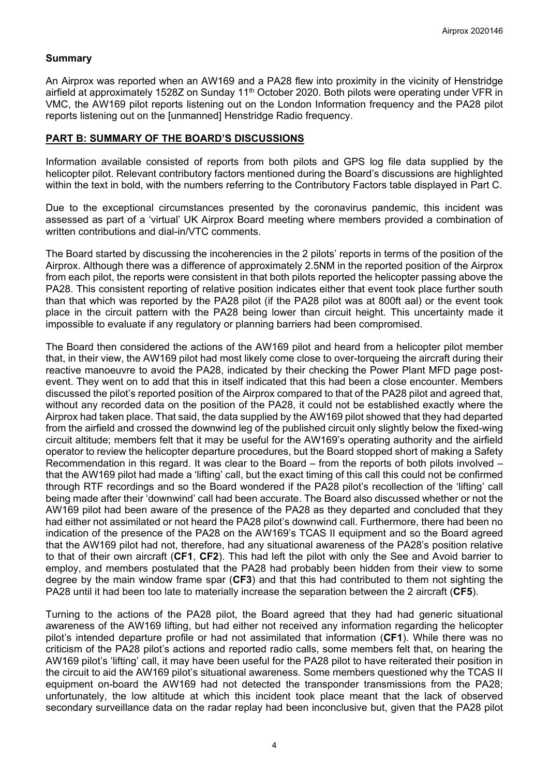# **Summary**

An Airprox was reported when an AW169 and a PA28 flew into proximity in the vicinity of Henstridge airfield at approximately 1528Z on Sunday 11<sup>th</sup> October 2020. Both pilots were operating under VFR in VMC, the AW169 pilot reports listening out on the London Information frequency and the PA28 pilot reports listening out on the [unmanned] Henstridge Radio frequency.

## **PART B: SUMMARY OF THE BOARD'S DISCUSSIONS**

Information available consisted of reports from both pilots and GPS log file data supplied by the helicopter pilot. Relevant contributory factors mentioned during the Board's discussions are highlighted within the text in bold, with the numbers referring to the Contributory Factors table displayed in Part C.

Due to the exceptional circumstances presented by the coronavirus pandemic, this incident was assessed as part of a 'virtual' UK Airprox Board meeting where members provided a combination of written contributions and dial-in/VTC comments.

The Board started by discussing the incoherencies in the 2 pilots' reports in terms of the position of the Airprox. Although there was a difference of approximately 2.5NM in the reported position of the Airprox from each pilot, the reports were consistent in that both pilots reported the helicopter passing above the PA28. This consistent reporting of relative position indicates either that event took place further south than that which was reported by the PA28 pilot (if the PA28 pilot was at 800ft aal) or the event took place in the circuit pattern with the PA28 being lower than circuit height. This uncertainty made it impossible to evaluate if any regulatory or planning barriers had been compromised.

The Board then considered the actions of the AW169 pilot and heard from a helicopter pilot member that, in their view, the AW169 pilot had most likely come close to over-torqueing the aircraft during their reactive manoeuvre to avoid the PA28, indicated by their checking the Power Plant MFD page postevent. They went on to add that this in itself indicated that this had been a close encounter. Members discussed the pilot's reported position of the Airprox compared to that of the PA28 pilot and agreed that, without any recorded data on the position of the PA28, it could not be established exactly where the Airprox had taken place. That said, the data supplied by the AW169 pilot showed that they had departed from the airfield and crossed the downwind leg of the published circuit only slightly below the fixed-wing circuit altitude; members felt that it may be useful for the AW169's operating authority and the airfield operator to review the helicopter departure procedures, but the Board stopped short of making a Safety Recommendation in this regard. It was clear to the Board – from the reports of both pilots involved – that the AW169 pilot had made a 'lifting' call, but the exact timing of this call this could not be confirmed through RTF recordings and so the Board wondered if the PA28 pilot's recollection of the 'lifting' call being made after their 'downwind' call had been accurate. The Board also discussed whether or not the AW169 pilot had been aware of the presence of the PA28 as they departed and concluded that they had either not assimilated or not heard the PA28 pilot's downwind call. Furthermore, there had been no indication of the presence of the PA28 on the AW169's TCAS II equipment and so the Board agreed that the AW169 pilot had not, therefore, had any situational awareness of the PA28's position relative to that of their own aircraft (**CF1**, **CF2**). This had left the pilot with only the See and Avoid barrier to employ, and members postulated that the PA28 had probably been hidden from their view to some degree by the main window frame spar (**CF3**) and that this had contributed to them not sighting the PA28 until it had been too late to materially increase the separation between the 2 aircraft (**CF5**).

Turning to the actions of the PA28 pilot, the Board agreed that they had had generic situational awareness of the AW169 lifting, but had either not received any information regarding the helicopter pilot's intended departure profile or had not assimilated that information (**CF1**). While there was no criticism of the PA28 pilot's actions and reported radio calls, some members felt that, on hearing the AW169 pilot's 'lifting' call, it may have been useful for the PA28 pilot to have reiterated their position in the circuit to aid the AW169 pilot's situational awareness. Some members questioned why the TCAS II equipment on-board the AW169 had not detected the transponder transmissions from the PA28; unfortunately, the low altitude at which this incident took place meant that the lack of observed secondary surveillance data on the radar replay had been inconclusive but, given that the PA28 pilot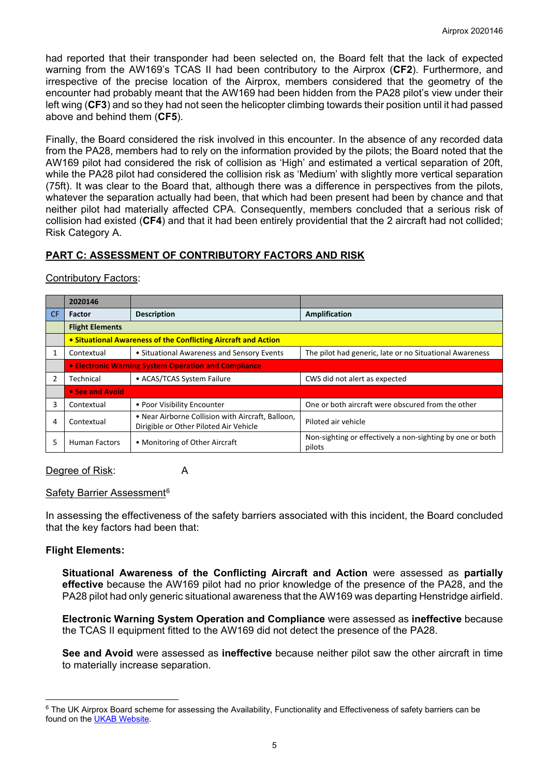had reported that their transponder had been selected on, the Board felt that the lack of expected warning from the AW169's TCAS II had been contributory to the Airprox (**CF2**). Furthermore, and irrespective of the precise location of the Airprox, members considered that the geometry of the encounter had probably meant that the AW169 had been hidden from the PA28 pilot's view under their left wing (**CF3**) and so they had not seen the helicopter climbing towards their position until it had passed above and behind them (**CF5**).

Finally, the Board considered the risk involved in this encounter. In the absence of any recorded data from the PA28, members had to rely on the information provided by the pilots; the Board noted that the AW169 pilot had considered the risk of collision as 'High' and estimated a vertical separation of 20ft, while the PA28 pilot had considered the collision risk as 'Medium' with slightly more vertical separation (75ft). It was clear to the Board that, although there was a difference in perspectives from the pilots, whatever the separation actually had been, that which had been present had been by chance and that neither pilot had materially affected CPA. Consequently, members concluded that a serious risk of collision had existed (**CF4**) and that it had been entirely providential that the 2 aircraft had not collided; Risk Category A.

# **PART C: ASSESSMENT OF CONTRIBUTORY FACTORS AND RISK**

|                | 2020146                                                                                                   |                                            |                                                                     |  |  |  |
|----------------|-----------------------------------------------------------------------------------------------------------|--------------------------------------------|---------------------------------------------------------------------|--|--|--|
| CF.            | <b>Factor</b>                                                                                             | <b>Description</b>                         | Amplification                                                       |  |  |  |
|                | <b>Flight Elements</b>                                                                                    |                                            |                                                                     |  |  |  |
|                | • Situational Awareness of the Conflicting Aircraft and Action                                            |                                            |                                                                     |  |  |  |
| $\mathbf{1}$   | Contextual                                                                                                | • Situational Awareness and Sensory Events | The pilot had generic, late or no Situational Awareness             |  |  |  |
|                | • Electronic Warning System Operation and Compliance                                                      |                                            |                                                                     |  |  |  |
| $\overline{2}$ | Technical                                                                                                 | • ACAS/TCAS System Failure                 | CWS did not alert as expected                                       |  |  |  |
|                | • See and Avoid                                                                                           |                                            |                                                                     |  |  |  |
| 3              | Contextual                                                                                                | • Poor Visibility Encounter                | One or both aircraft were obscured from the other                   |  |  |  |
| 4              | • Near Airborne Collision with Aircraft, Balloon,<br>Contextual<br>Dirigible or Other Piloted Air Vehicle |                                            | Piloted air vehicle                                                 |  |  |  |
| 5              | • Monitoring of Other Aircraft<br>Human Factors                                                           |                                            | Non-sighting or effectively a non-sighting by one or both<br>pilots |  |  |  |

### Contributory Factors:

# Degree of Risk: A

### Safety Barrier Assessment<sup>[6](#page-4-0)</sup>

In assessing the effectiveness of the safety barriers associated with this incident, the Board concluded that the key factors had been that:

### **Flight Elements:**

**Situational Awareness of the Conflicting Aircraft and Action** were assessed as **partially effective** because the AW169 pilot had no prior knowledge of the presence of the PA28, and the PA28 pilot had only generic situational awareness that the AW169 was departing Henstridge airfield.

**Electronic Warning System Operation and Compliance** were assessed as **ineffective** because the TCAS II equipment fitted to the AW169 did not detect the presence of the PA28.

**See and Avoid** were assessed as **ineffective** because neither pilot saw the other aircraft in time to materially increase separation.

<span id="page-4-0"></span><sup>&</sup>lt;sup>6</sup> The UK Airprox Board scheme for assessing the Availability, Functionality and Effectiveness of safety barriers can be found on the [UKAB Website.](http://www.airproxboard.org.uk/Learn-more/Airprox-Barrier-Assessment/)